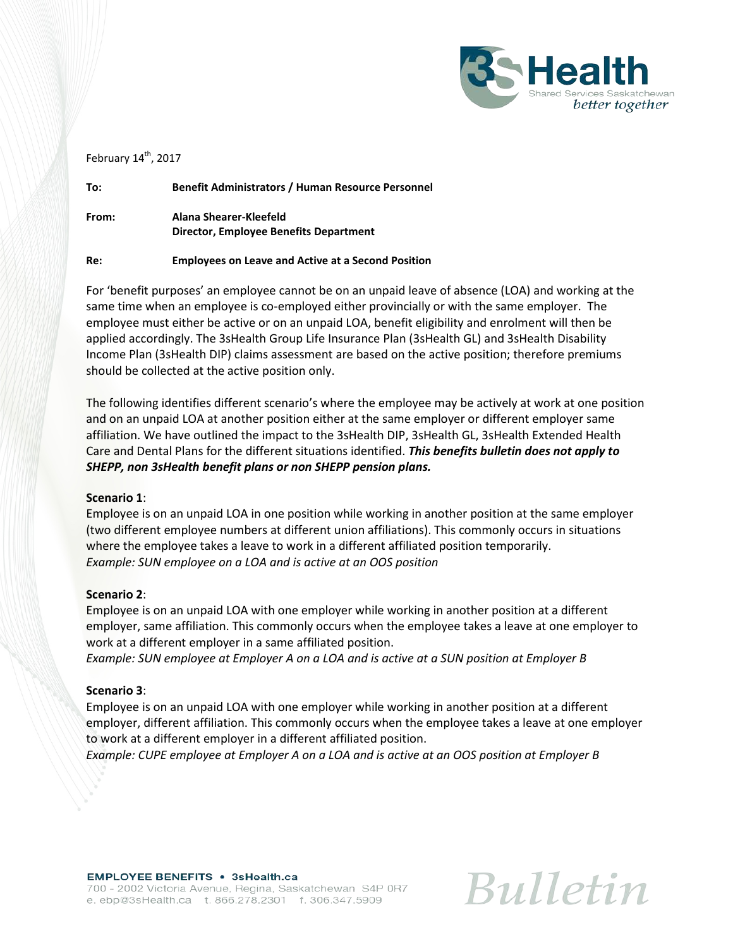

February 14<sup>th</sup>, 2017

**To: Benefit Administrators / Human Resource Personnel**

**From: Alana Shearer-Kleefeld Director, Employee Benefits Department**

## **Re: Employees on Leave and Active at a Second Position**

For 'benefit purposes' an employee cannot be on an unpaid leave of absence (LOA) and working at the same time when an employee is co-employed either provincially or with the same employer. The employee must either be active or on an unpaid LOA, benefit eligibility and enrolment will then be applied accordingly. The 3sHealth Group Life Insurance Plan (3sHealth GL) and 3sHealth Disability Income Plan (3sHealth DIP) claims assessment are based on the active position; therefore premiums should be collected at the active position only.

The following identifies different scenario's where the employee may be actively at work at one position and on an unpaid LOA at another position either at the same employer or different employer same affiliation. We have outlined the impact to the 3sHealth DIP, 3sHealth GL, 3sHealth Extended Health Care and Dental Plans for the different situations identified. *This benefits bulletin does not apply to SHEPP, non 3sHealth benefit plans or non SHEPP pension plans.*

## **Scenario 1**:

Employee is on an unpaid LOA in one position while working in another position at the same employer (two different employee numbers at different union affiliations). This commonly occurs in situations where the employee takes a leave to work in a different affiliated position temporarily. *Example: SUN employee on a LOA and is active at an OOS position*

## **Scenario 2**:

Employee is on an unpaid LOA with one employer while working in another position at a different employer, same affiliation. This commonly occurs when the employee takes a leave at one employer to work at a different employer in a same affiliated position.

*Example: SUN employee at Employer A on a LOA and is active at a SUN position at Employer B*

## **Scenario 3**:

Employee is on an unpaid LOA with one employer while working in another position at a different employer, different affiliation. This commonly occurs when the employee takes a leave at one employer to work at a different employer in a different affiliated position.

*Example: CUPE employee at Employer A on a LOA and is active at an OOS position at Employer B*

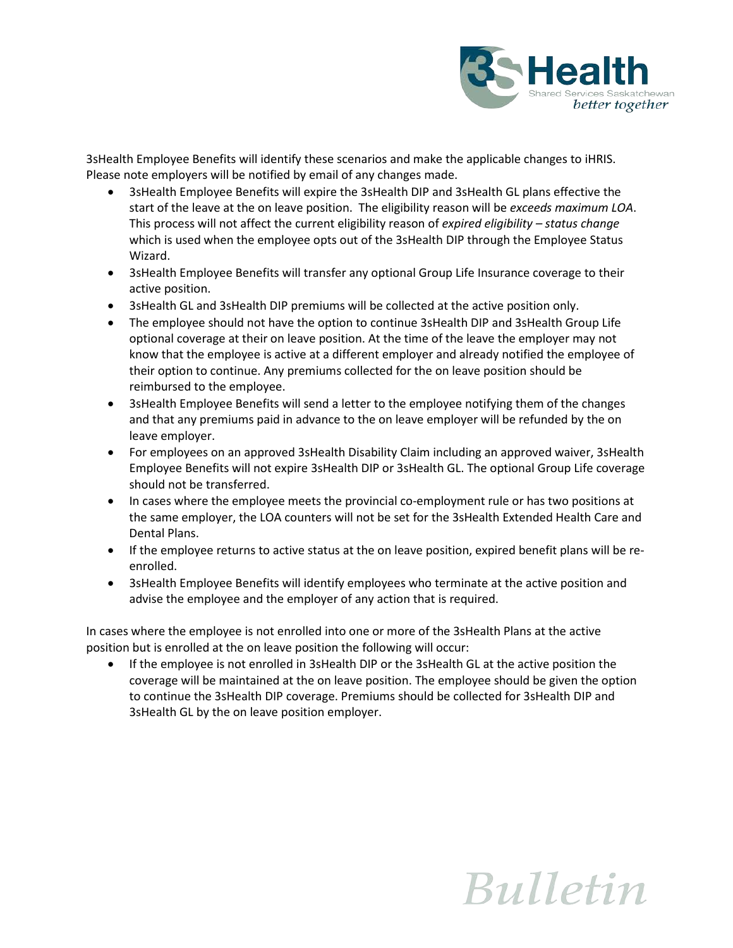

3sHealth Employee Benefits will identify these scenarios and make the applicable changes to iHRIS. Please note employers will be notified by email of any changes made.

- 3sHealth Employee Benefits will expire the 3sHealth DIP and 3sHealth GL plans effective the start of the leave at the on leave position. The eligibility reason will be *exceeds maximum LOA*. This process will not affect the current eligibility reason of *expired eligibility – status change* which is used when the employee opts out of the 3sHealth DIP through the Employee Status Wizard.
- 3sHealth Employee Benefits will transfer any optional Group Life Insurance coverage to their active position.
- 3sHealth GL and 3sHealth DIP premiums will be collected at the active position only.
- The employee should not have the option to continue 3sHealth DIP and 3sHealth Group Life optional coverage at their on leave position. At the time of the leave the employer may not know that the employee is active at a different employer and already notified the employee of their option to continue. Any premiums collected for the on leave position should be reimbursed to the employee.
- 3sHealth Employee Benefits will send a letter to the employee notifying them of the changes and that any premiums paid in advance to the on leave employer will be refunded by the on leave employer.
- For employees on an approved 3sHealth Disability Claim including an approved waiver, 3sHealth Employee Benefits will not expire 3sHealth DIP or 3sHealth GL. The optional Group Life coverage should not be transferred.
- In cases where the employee meets the provincial co-employment rule or has two positions at the same employer, the LOA counters will not be set for the 3sHealth Extended Health Care and Dental Plans.
- If the employee returns to active status at the on leave position, expired benefit plans will be reenrolled.
- 3sHealth Employee Benefits will identify employees who terminate at the active position and advise the employee and the employer of any action that is required.

In cases where the employee is not enrolled into one or more of the 3sHealth Plans at the active position but is enrolled at the on leave position the following will occur:

• If the employee is not enrolled in 3sHealth DIP or the 3sHealth GL at the active position the coverage will be maintained at the on leave position. The employee should be given the option to continue the 3sHealth DIP coverage. Premiums should be collected for 3sHealth DIP and 3sHealth GL by the on leave position employer.